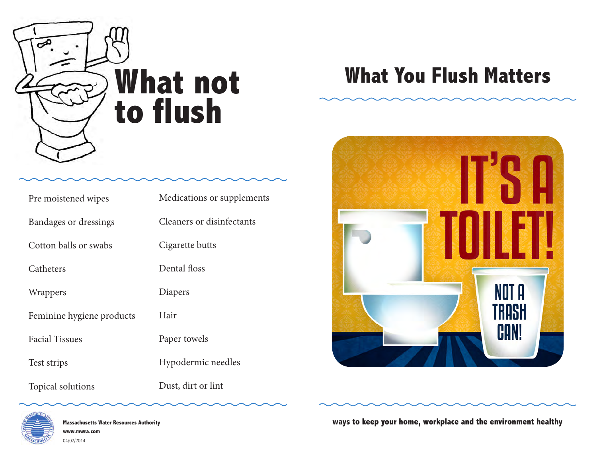

| Pre moistened wipes          | Medications or supplements |
|------------------------------|----------------------------|
| <b>Bandages or dressings</b> | Cleaners or disinfectants  |
| Cotton balls or swabs        | Cigarette butts            |
| Catheters                    | Dental floss               |
| Wrappers                     | Diapers                    |
| Feminine hygiene products    | Hair                       |
| <b>Facial Tissues</b>        | Paper towels               |
| Test strips                  | Hypodermic needles         |
| Topical solutions            | Dust, dirt or lint         |

**Massachusetts Water Resources Authority www.mwra.com** 04/02/2014

## **What not What You Flush Matters**



**ways to keep your home, workplace and the environment healthy**